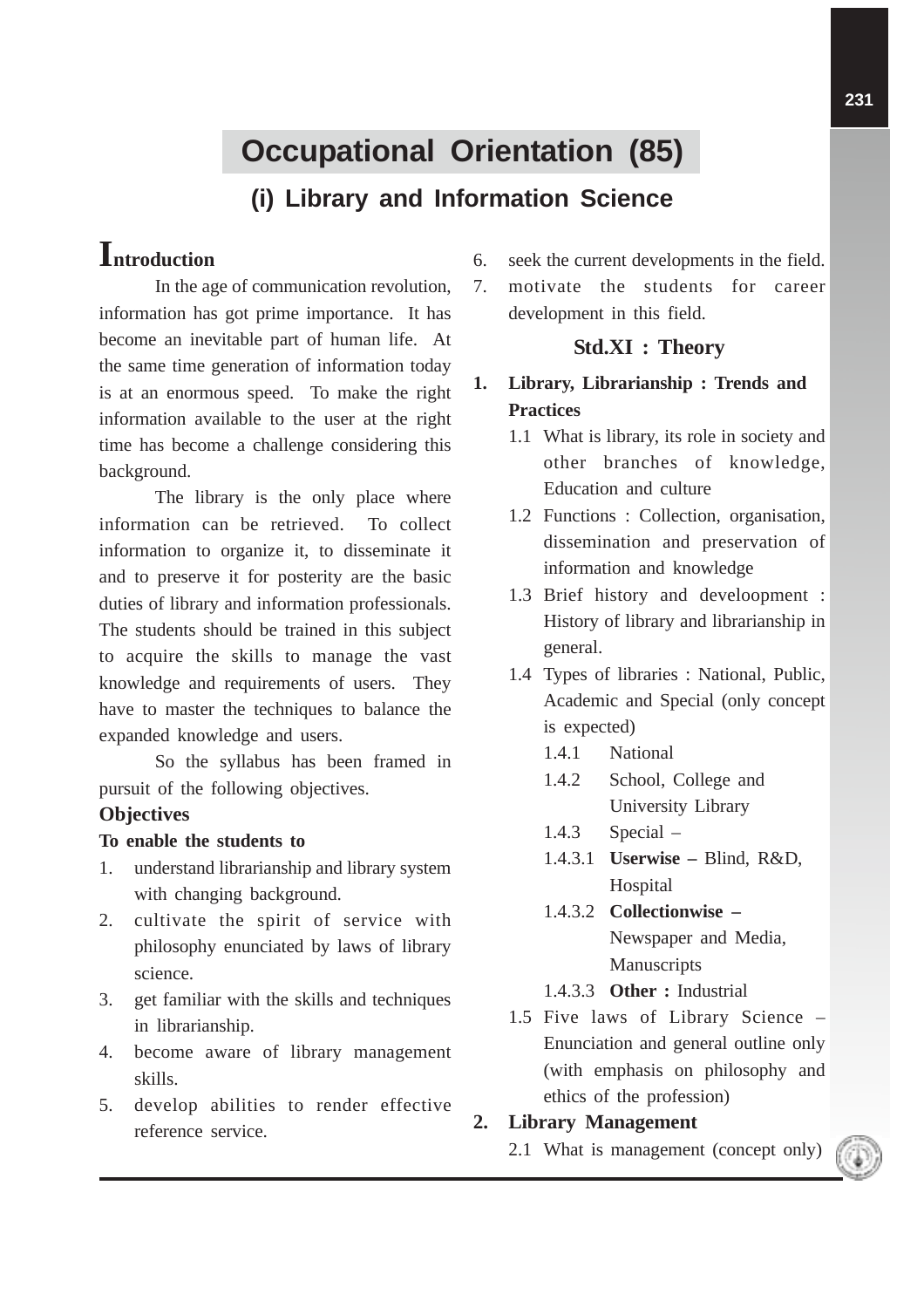# **Occupational Orientation (85)**

# **(i) Library and Information Science**

# **Introduction**

In the age of communication revolution, information has got prime importance. It has become an inevitable part of human life. At the same time generation of information today is at an enormous speed. To make the right information available to the user at the right time has become a challenge considering this background.

The library is the only place where information can be retrieved. To collect information to organize it, to disseminate it and to preserve it for posterity are the basic duties of library and information professionals. The students should be trained in this subject to acquire the skills to manage the vast knowledge and requirements of users. They have to master the techniques to balance the expanded knowledge and users.

So the syllabus has been framed in pursuit of the following objectives.

## **Objectives**

#### **To enable the students to**

- 1. understand librarianship and library system with changing background.
- 2. cultivate the spirit of service with philosophy enunciated by laws of library science.
- 3. get familiar with the skills and techniques in librarianship.
- 4. become aware of library management skills.
- 5. develop abilities to render effective reference service.
- 6. seek the current developments in the field.
- 7. motivate the students for career development in this field.

## **Std.XI : Theory**

- **1. Library, Librarianship : Trends and Practices**
	- 1.1 What is library, its role in society and other branches of knowledge, Education and culture
	- 1.2 Functions : Collection, organisation, dissemination and preservation of information and knowledge
	- 1.3 Brief history and develoopment : History of library and librarianship in general.
	- 1.4 Types of libraries : National, Public, Academic and Special (only concept is expected)
		- 1.4.1 National
		- 1.4.2 School, College and University Library
		- 1.4.3 Special –
		- 1.4.3.1 **Userwise –** Blind, R&D, **Hospital**
		- 1.4.3.2 **Collectionwise –** Newspaper and Media, **Manuscripts**
		- 1.4.3.3 **Other :** Industrial
	- 1.5 Five laws of Library Science Enunciation and general outline only (with emphasis on philosophy and ethics of the profession)

## **2. Library Management**

2.1 What is management (concept only)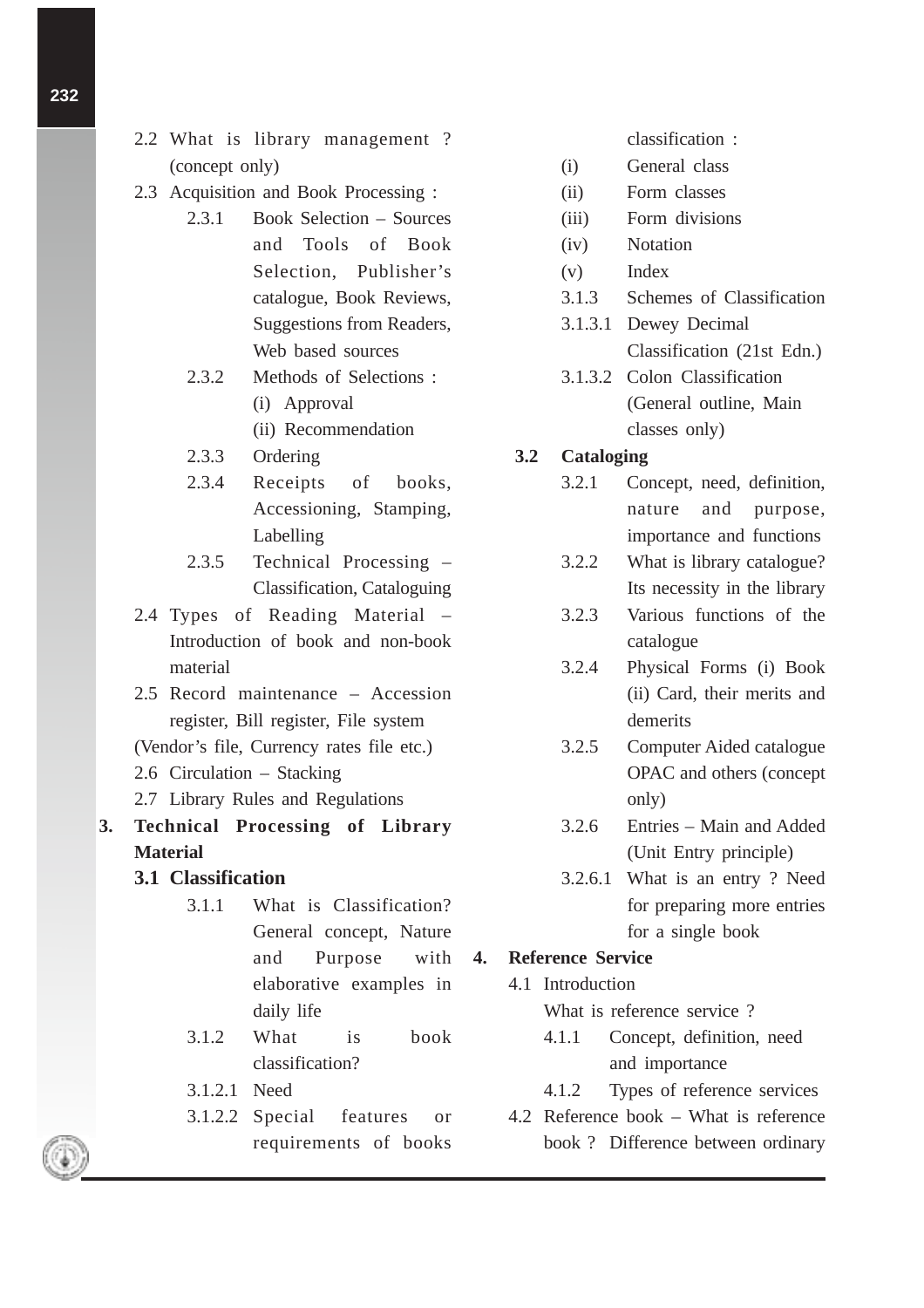- **232**
- 2.2 What is library management ? (concept only)
- 2.3 Acquisition and Book Processing :
	- 2.3.1 Book Selection Sources and Tools of Book Selection, Publisher's catalogue, Book Reviews, Suggestions from Readers, Web based sources
	- 2.3.2 Methods of Selections : (i) Approval
		-
		- (ii) Recommendation
	- 2.3.3 Ordering
	- 2.3.4 Receipts of books, Accessioning, Stamping, Labelling
	- 2.3.5 Technical Processing Classification, Cataloguing
- 2.4 Types of Reading Material Introduction of book and non-book material
- 2.5 Record maintenance Accession register, Bill register, File system
- (Vendor's file, Currency rates file etc.)
- 2.6 Circulation Stacking
- 2.7 Library Rules and Regulations
- **3. Technical Processing of Library Material**
	- **3.1 Classification**
		- 3.1.1 What is Classification? General concept, Nature and Purpose with elaborative examples in daily life
		- 3.1.2 What is book classification?
		- 3.1.2.1 Need
		- 3.1.2.2 Special features or requirements of books

classification :

- (i) General class
- (ii) Form classes
- (iii) Form divisions
- (iv) Notation
- (v) Index
- 3.1.3 Schemes of Classification
- 3.1.3.1 Dewey Decimal Classification (21st Edn.)
- 3.1.3.2 Colon Classification (General outline, Main classes only)

## **3.2 Cataloging**

- 3.2.1 Concept, need, definition, nature and purpose, importance and functions
- 3.2.2 What is library catalogue? Its necessity in the library
- 3.2.3 Various functions of the catalogue
- 3.2.4 Physical Forms (i) Book (ii) Card, their merits and demerits
- 3.2.5 Computer Aided catalogue OPAC and others (concept only)
- 3.2.6 Entries Main and Added (Unit Entry principle)
- 3.2.6.1 What is an entry ? Need for preparing more entries for a single book

#### **4. Reference Service**

4.1 Introduction

What is reference service ?

- 4.1.1 Concept, definition, need and importance
- 4.1.2 Types of reference services
- 4.2 Reference book What is reference book ? Difference between ordinary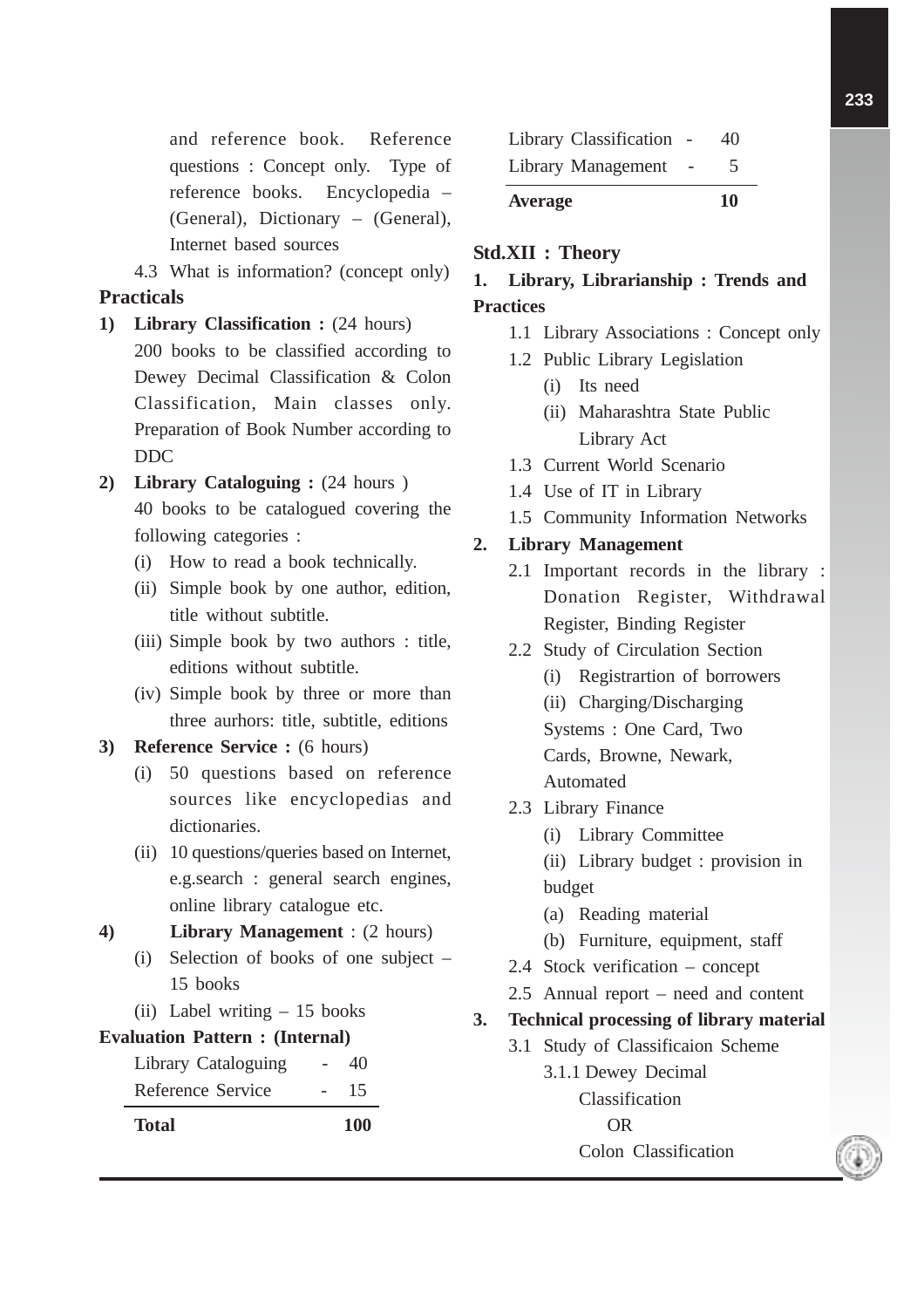and reference book. Reference questions : Concept only. Type of reference books. Encyclopedia – (General), Dictionary – (General), Internet based sources

4.3 What is information? (concept only) **Practicals**

- **1) Library Classification :** (24 hours) 200 books to be classified according to Dewey Decimal Classification & Colon Classification, Main classes only. Preparation of Book Number according to DDC
- **2) Library Cataloguing :** (24 hours ) 40 books to be catalogued covering the following categories :
	- (i) How to read a book technically.
	- (ii) Simple book by one author, edition, title without subtitle.
	- (iii) Simple book by two authors : title, editions without subtitle.
	- (iv) Simple book by three or more than three aurhors: title, subtitle, editions
- **3) Reference Service :** (6 hours)
	- (i) 50 questions based on reference sources like encyclopedias and dictionaries.
	- (ii) 10 questions/queries based on Internet, e.g.search : general search engines, online library catalogue etc.

## **4) Library Management** : (2 hours)

- (i) Selection of books of one subject 15 books
- (ii) Label writing 15 books

## **Evaluation Pattern : (Internal)**

Library Cataloguing - 40 Reference Service - 15



| Library Classification | 40<br>5 |
|------------------------|---------|
| Library Management     |         |
| <b>Average</b>         | 10      |

### **Std.XII : Theory**

# **1. Library, Librarianship : Trends and Practices**

- 1.1 Library Associations : Concept only
- 1.2 Public Library Legislation
	- (i) Its need
	- (ii) Maharashtra State Public Library Act
- 1.3 Current World Scenario
- 1.4 Use of IT in Library
- 1.5 Community Information Networks

# **2. Library Management**

- 2.1 Important records in the library : Donation Register, Withdrawal Register, Binding Register
- 2.2 Study of Circulation Section
	- (i) Registrartion of borrowers
	- (ii) Charging/Discharging

Systems : One Card, Two Cards, Browne, Newark, Automated

- 2.3 Library Finance
	- (i) Library Committee
	- (ii) Library budget : provision in budget
	- (a) Reading material
	- (b) Furniture, equipment, staff
- 2.4 Stock verification concept
- 2.5 Annual report need and content

# **3. Technical processing of library material**

3.1 Study of Classificaion Scheme

3.1.1 Dewey Decimal Classification OR Colon Classification

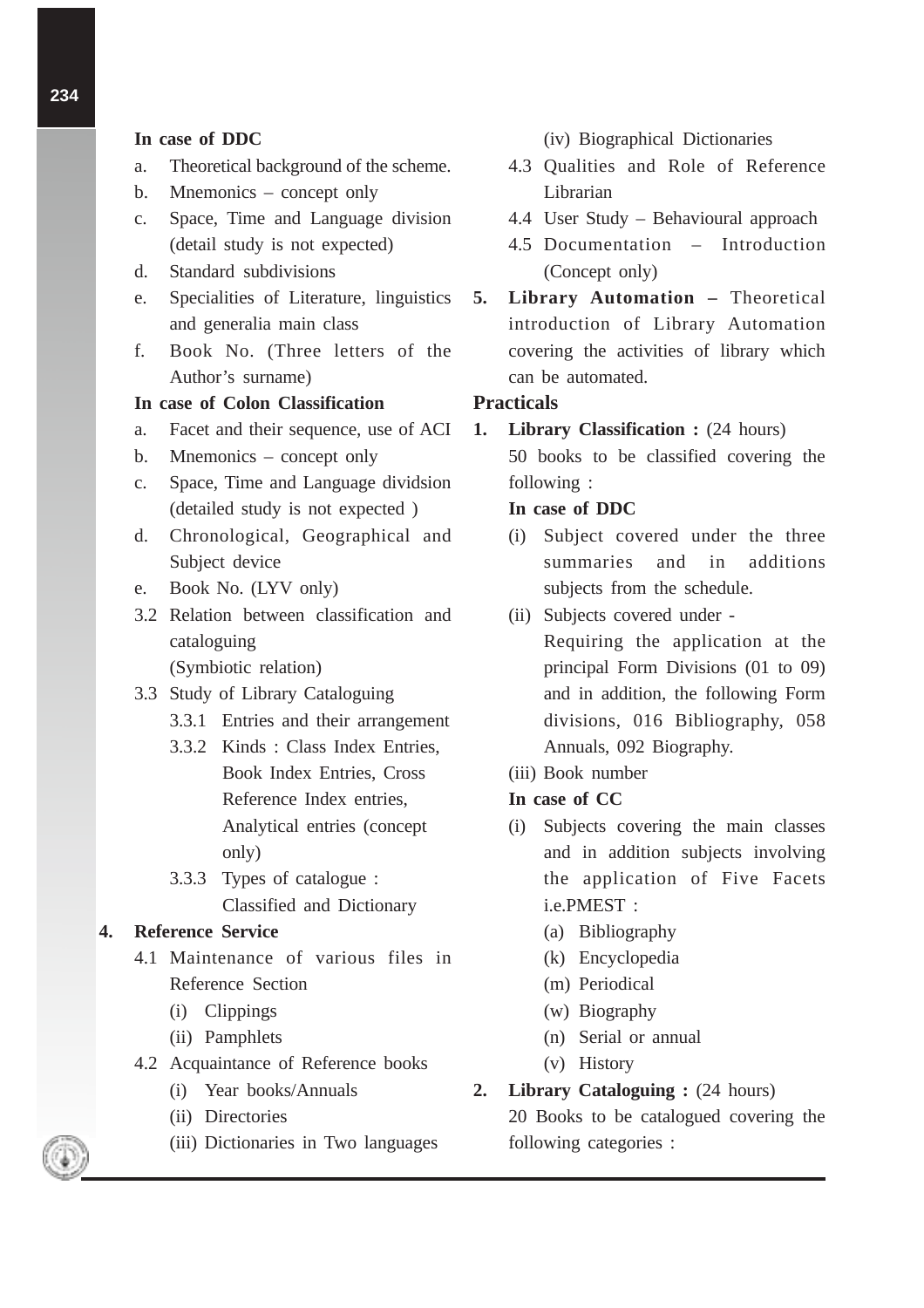#### **In case of DDC**

- a. Theoretical background of the scheme.
- b. Mnemonics concept only
- c. Space, Time and Language division (detail study is not expected)
- d. Standard subdivisions
- e. Specialities of Literature, linguistics and generalia main class
- f. Book No. (Three letters of the Author's surname)
- **In case of Colon Classification**
- a. Facet and their sequence, use of ACI
- b. Mnemonics concept only
- c. Space, Time and Language dividsion (detailed study is not expected )
- d. Chronological, Geographical and Subject device
- e. Book No. (LYV only)
- 3.2 Relation between classification and cataloguing

(Symbiotic relation)

- 3.3 Study of Library Cataloguing
	- 3.3.1 Entries and their arrangement
	- 3.3.2 Kinds : Class Index Entries, Book Index Entries, Cross Reference Index entries, Analytical entries (concept only)
	- 3.3.3 Types of catalogue : Classified and Dictionary

#### **4. Reference Service**

- 4.1 Maintenance of various files in Reference Section
	- (i) Clippings
	- (ii) Pamphlets
- 4.2 Acquaintance of Reference books
	- (i) Year books/Annuals
	- (ii) Directories
	- (iii) Dictionaries in Two languages
- (iv) Biographical Dictionaries
- 4.3 Qualities and Role of Reference Librarian
- 4.4 User Study Behavioural approach
- 4.5 Documentation Introduction (Concept only)
- **5. Library Automation –** Theoretical introduction of Library Automation covering the activities of library which can be automated.

#### **Practicals**

**1. Library Classification :**  $(24 \text{ hours})$ 

50 books to be classified covering the following :

#### **In case of DDC**

- (i) Subject covered under the three summaries and in additions subjects from the schedule.
- (ii) Subjects covered under Requiring the application at the principal Form Divisions (01 to 09) and in addition, the following Form divisions, 016 Bibliography, 058 Annuals, 092 Biography.
- (iii) Book number

#### **In case of CC**

- (i) Subjects covering the main classes and in addition subjects involving the application of Five Facets i.e.PMEST :
	- (a) Bibliography
	- (k) Encyclopedia
	- (m) Periodical
	- (w) Biography
	- (n) Serial or annual
	- (v) History

#### **2. Library Cataloguing :** (24 hours)

20 Books to be catalogued covering the following categories :